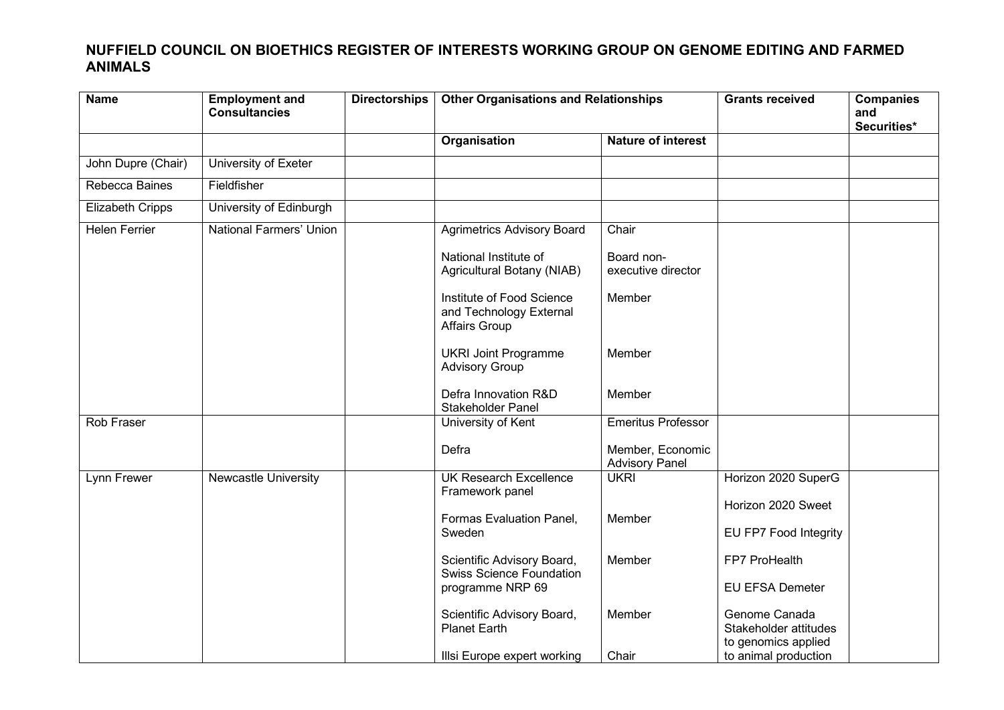## **NUFFIELD COUNCIL ON BIOETHICS REGISTER OF INTERESTS WORKING GROUP ON GENOME EDITING AND FARMED ANIMALS**

| <b>Name</b>             | <b>Employment and</b><br><b>Consultancies</b> | <b>Directorships</b> | <b>Other Organisations and Relationships</b>                          |                                           | <b>Grants received</b>                                        | <b>Companies</b><br>and<br>Securities* |
|-------------------------|-----------------------------------------------|----------------------|-----------------------------------------------------------------------|-------------------------------------------|---------------------------------------------------------------|----------------------------------------|
|                         |                                               |                      | Organisation                                                          | <b>Nature of interest</b>                 |                                                               |                                        |
| John Dupre (Chair)      | University of Exeter                          |                      |                                                                       |                                           |                                                               |                                        |
| Rebecca Baines          | Fieldfisher                                   |                      |                                                                       |                                           |                                                               |                                        |
| <b>Elizabeth Cripps</b> | University of Edinburgh                       |                      |                                                                       |                                           |                                                               |                                        |
| <b>Helen Ferrier</b>    | National Farmers' Union                       |                      | <b>Agrimetrics Advisory Board</b>                                     | Chair                                     |                                                               |                                        |
|                         |                                               |                      | National Institute of<br>Agricultural Botany (NIAB)                   | Board non-<br>executive director          |                                                               |                                        |
|                         |                                               |                      | Institute of Food Science<br>and Technology External<br>Affairs Group | Member                                    |                                                               |                                        |
|                         |                                               |                      | <b>UKRI Joint Programme</b><br><b>Advisory Group</b>                  | Member                                    |                                                               |                                        |
|                         |                                               |                      | Defra Innovation R&D<br>Stakeholder Panel                             | Member                                    |                                                               |                                        |
| Rob Fraser              |                                               |                      | University of Kent                                                    | <b>Emeritus Professor</b>                 |                                                               |                                        |
|                         |                                               |                      | Defra                                                                 | Member, Economic<br><b>Advisory Panel</b> |                                                               |                                        |
| Lynn Frewer             | <b>Newcastle University</b>                   |                      | <b>UK Research Excellence</b>                                         | <b>UKRI</b>                               | Horizon 2020 SuperG                                           |                                        |
|                         |                                               |                      | Framework panel                                                       |                                           | Horizon 2020 Sweet                                            |                                        |
|                         |                                               |                      | Formas Evaluation Panel,<br>Sweden                                    | Member                                    | EU FP7 Food Integrity                                         |                                        |
|                         |                                               |                      | Scientific Advisory Board,<br>Swiss Science Foundation                | Member                                    | FP7 ProHealth                                                 |                                        |
|                         |                                               |                      | programme NRP 69                                                      |                                           | <b>EU EFSA Demeter</b>                                        |                                        |
|                         |                                               |                      | Scientific Advisory Board,<br><b>Planet Earth</b>                     | Member                                    | Genome Canada<br>Stakeholder attitudes<br>to genomics applied |                                        |
|                         |                                               |                      | Illsi Europe expert working                                           | Chair                                     | to animal production                                          |                                        |